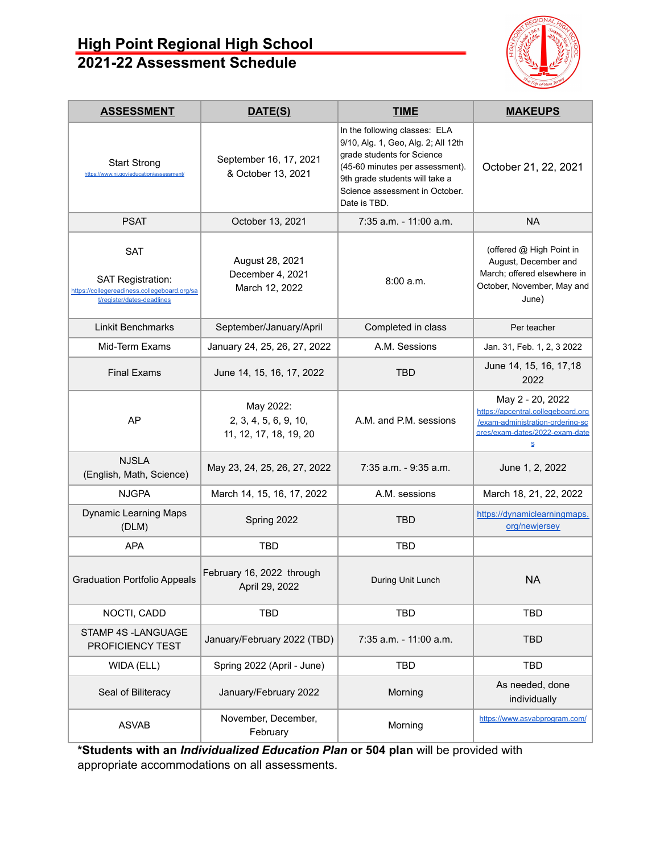# **High Point Regional High School 2021-22 Assessment Schedule**



| <b>ASSESSMENT</b>                                                                                                    | DATE(S)                                                      | <b>TIME</b>                                                                                                                                                                                                               | <b>MAKEUPS</b>                                                                                                                    |
|----------------------------------------------------------------------------------------------------------------------|--------------------------------------------------------------|---------------------------------------------------------------------------------------------------------------------------------------------------------------------------------------------------------------------------|-----------------------------------------------------------------------------------------------------------------------------------|
| <b>Start Strong</b><br>https://www.nj.gov/education/assessment/                                                      | September 16, 17, 2021<br>& October 13, 2021                 | In the following classes: ELA<br>9/10, Alg. 1, Geo, Alg. 2; All 12th<br>grade students for Science<br>(45-60 minutes per assessment).<br>9th grade students will take a<br>Science assessment in October.<br>Date is TBD. | October 21, 22, 2021                                                                                                              |
| <b>PSAT</b>                                                                                                          | October 13, 2021                                             | 7:35 a.m. - 11:00 a.m.                                                                                                                                                                                                    | <b>NA</b>                                                                                                                         |
| <b>SAT</b><br><b>SAT Registration:</b><br>https://collegereadiness.collegeboard.org/sa<br>t/register/dates-deadlines | August 28, 2021<br>December 4, 2021<br>March 12, 2022        | 8:00 a.m.                                                                                                                                                                                                                 | (offered @ High Point in<br>August, December and<br>March; offered elsewhere in<br>October, November, May and<br>June)            |
| <b>Linkit Benchmarks</b>                                                                                             | September/January/April                                      | Completed in class                                                                                                                                                                                                        | Per teacher                                                                                                                       |
| Mid-Term Exams                                                                                                       | January 24, 25, 26, 27, 2022                                 | A.M. Sessions                                                                                                                                                                                                             | Jan. 31, Feb. 1, 2, 3 2022                                                                                                        |
| <b>Final Exams</b>                                                                                                   | June 14, 15, 16, 17, 2022                                    | <b>TBD</b>                                                                                                                                                                                                                | June 14, 15, 16, 17, 18<br>2022                                                                                                   |
| AP                                                                                                                   | May 2022:<br>2, 3, 4, 5, 6, 9, 10,<br>11, 12, 17, 18, 19, 20 | A.M. and P.M. sessions                                                                                                                                                                                                    | May 2 - 20, 2022<br>https://apcentral.collegeboard.org<br>/exam-administration-ordering-sc<br>ores/exam-dates/2022-exam-date<br>S |
| <b>NJSLA</b><br>(English, Math, Science)                                                                             | May 23, 24, 25, 26, 27, 2022                                 | 7:35 a.m. - 9:35 a.m.                                                                                                                                                                                                     | June 1, 2, 2022                                                                                                                   |
| <b>NJGPA</b>                                                                                                         | March 14, 15, 16, 17, 2022                                   | A.M. sessions                                                                                                                                                                                                             | March 18, 21, 22, 2022                                                                                                            |
| <b>Dynamic Learning Maps</b><br>(DLM)                                                                                | Spring 2022                                                  | <b>TBD</b>                                                                                                                                                                                                                | https://dynamiclearningmaps.<br>org/newjersey                                                                                     |
| <b>APA</b>                                                                                                           | <b>TBD</b>                                                   | <b>TBD</b>                                                                                                                                                                                                                |                                                                                                                                   |
| <b>Graduation Portfolio Appeals</b>                                                                                  | February 16, 2022 through<br>April 29, 2022                  | During Unit Lunch                                                                                                                                                                                                         | NA                                                                                                                                |
| NOCTI, CADD                                                                                                          | TBD                                                          | <b>TBD</b>                                                                                                                                                                                                                | <b>TBD</b>                                                                                                                        |
| STAMP 4S -LANGUAGE<br>PROFICIENCY TEST                                                                               | January/February 2022 (TBD)                                  | 7:35 a.m. - 11:00 a.m.                                                                                                                                                                                                    | <b>TBD</b>                                                                                                                        |
| WIDA (ELL)                                                                                                           | Spring 2022 (April - June)                                   | <b>TBD</b>                                                                                                                                                                                                                | <b>TBD</b>                                                                                                                        |
| Seal of Biliteracy                                                                                                   | January/February 2022                                        | Morning                                                                                                                                                                                                                   | As needed, done<br>individually                                                                                                   |
| <b>ASVAB</b>                                                                                                         | November, December,<br>February                              | Morning                                                                                                                                                                                                                   | https://www.asvabprogram.com/                                                                                                     |

**\*Students with an** *Individualized Education Plan* **or 504 plan** will be provided with appropriate accommodations on all assessments.